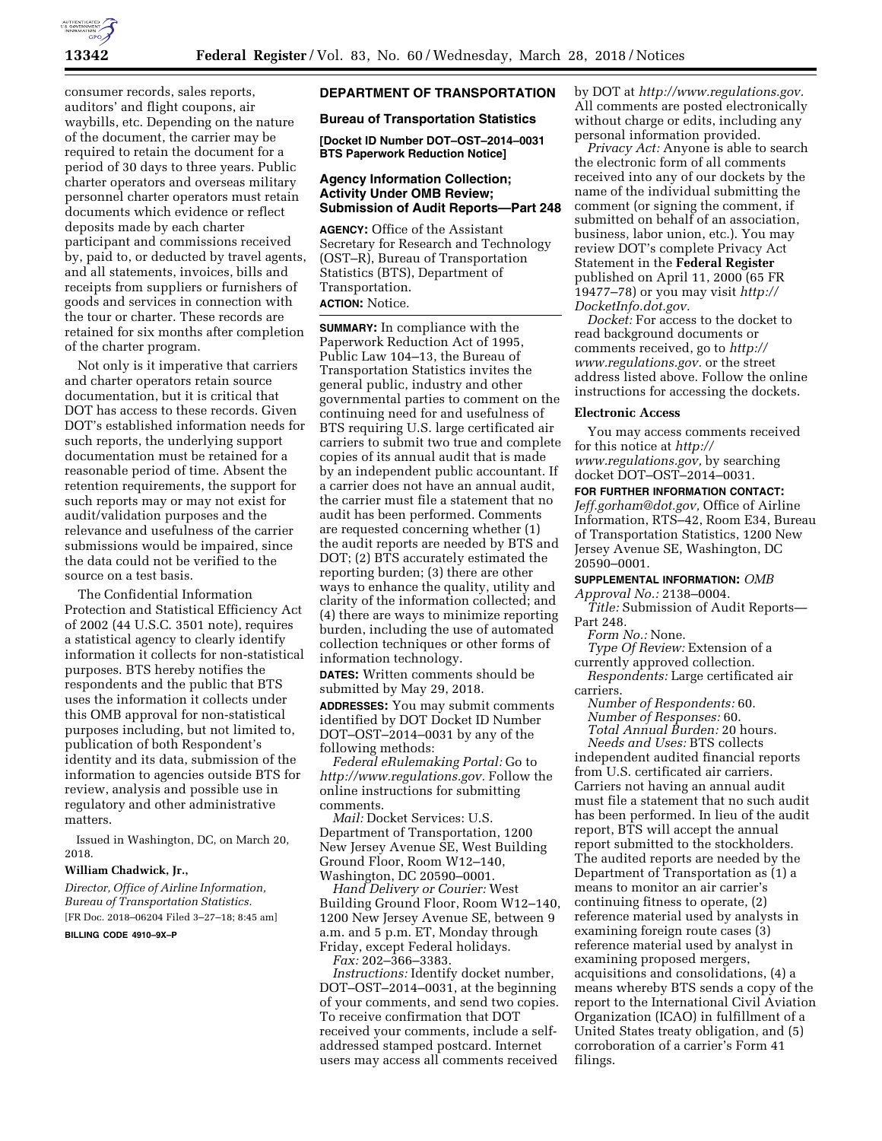

consumer records, sales reports, auditors' and flight coupons, air waybills, etc. Depending on the nature of the document, the carrier may be required to retain the document for a period of 30 days to three years. Public charter operators and overseas military personnel charter operators must retain documents which evidence or reflect deposits made by each charter participant and commissions received by, paid to, or deducted by travel agents, and all statements, invoices, bills and receipts from suppliers or furnishers of goods and services in connection with the tour or charter. These records are retained for six months after completion of the charter program.

Not only is it imperative that carriers and charter operators retain source documentation, but it is critical that DOT has access to these records. Given DOT's established information needs for such reports, the underlying support documentation must be retained for a reasonable period of time. Absent the retention requirements, the support for such reports may or may not exist for audit/validation purposes and the relevance and usefulness of the carrier submissions would be impaired, since the data could not be verified to the source on a test basis.

The Confidential Information Protection and Statistical Efficiency Act of 2002 (44 U.S.C. 3501 note), requires a statistical agency to clearly identify information it collects for non-statistical purposes. BTS hereby notifies the respondents and the public that BTS uses the information it collects under this OMB approval for non-statistical purposes including, but not limited to, publication of both Respondent's identity and its data, submission of the information to agencies outside BTS for review, analysis and possible use in regulatory and other administrative matters.

Issued in Washington, DC, on March 20, 2018.

## **William Chadwick, Jr.,**

*Director, Office of Airline Information, Bureau of Transportation Statistics.*  [FR Doc. 2018–06204 Filed 3–27–18; 8:45 am]

**BILLING CODE 4910–9X–P** 

# **DEPARTMENT OF TRANSPORTATION**

#### **Bureau of Transportation Statistics**

**[Docket ID Number DOT–OST–2014–0031 BTS Paperwork Reduction Notice]** 

## **Agency Information Collection; Activity Under OMB Review; Submission of Audit Reports—Part 248**

**AGENCY:** Office of the Assistant Secretary for Research and Technology (OST–R), Bureau of Transportation Statistics (BTS), Department of Transportation. **ACTION:** Notice.

**SUMMARY:** In compliance with the Paperwork Reduction Act of 1995, Public Law 104–13, the Bureau of Transportation Statistics invites the general public, industry and other governmental parties to comment on the continuing need for and usefulness of BTS requiring U.S. large certificated air carriers to submit two true and complete copies of its annual audit that is made by an independent public accountant. If a carrier does not have an annual audit, the carrier must file a statement that no audit has been performed. Comments are requested concerning whether (1) the audit reports are needed by BTS and DOT; (2) BTS accurately estimated the reporting burden; (3) there are other ways to enhance the quality, utility and clarity of the information collected; and (4) there are ways to minimize reporting burden, including the use of automated collection techniques or other forms of information technology.

**DATES:** Written comments should be submitted by May 29, 2018.

**ADDRESSES:** You may submit comments identified by DOT Docket ID Number DOT–OST–2014–0031 by any of the following methods:

*Federal eRulemaking Portal:* Go to *[http://www.regulations.gov.](http://www.regulations.gov)* Follow the online instructions for submitting comments.

*Mail:* Docket Services: U.S. Department of Transportation, 1200 New Jersey Avenue SE, West Building Ground Floor, Room W12–140, Washington, DC 20590–0001.

*Hand Delivery or Courier:* West Building Ground Floor, Room W12–140, 1200 New Jersey Avenue SE, between 9 a.m. and 5 p.m. ET, Monday through Friday, except Federal holidays.

*Fax:* 202–366–3383.

*Instructions:* Identify docket number, DOT–OST–2014–0031, at the beginning of your comments, and send two copies. To receive confirmation that DOT received your comments, include a selfaddressed stamped postcard. Internet users may access all comments received

by DOT at *[http://www.regulations.gov.](http://www.regulations.gov)*  All comments are posted electronically without charge or edits, including any personal information provided.

*Privacy Act:* Anyone is able to search the electronic form of all comments received into any of our dockets by the name of the individual submitting the comment (or signing the comment, if submitted on behalf of an association, business, labor union, etc.). You may review DOT's complete Privacy Act Statement in the **Federal Register**  published on April 11, 2000 (65 FR 19477–78) or you may visit *[http://](http://DocketInfo.dot.gov) [DocketInfo.dot.gov.](http://DocketInfo.dot.gov)* 

*Docket:* For access to the docket to read background documents or comments received, go to *[http://](http://www.regulations.gov) [www.regulations.gov.](http://www.regulations.gov)* or the street address listed above. Follow the online instructions for accessing the dockets.

#### **Electronic Access**

You may access comments received for this notice at *[http://](http://www.regulations.gov) [www.regulations.gov,](http://www.regulations.gov)* by searching docket DOT–OST–2014–0031.

#### **FOR FURTHER INFORMATION CONTACT:**

*[Jeff.gorham@dot.gov,](mailto:Jeff.gorham@dot.gov)* Office of Airline Information, RTS–42, Room E34, Bureau of Transportation Statistics, 1200 New Jersey Avenue SE, Washington, DC 20590–0001.

**SUPPLEMENTAL INFORMATION:** *OMB* 

*Approval No.:* 2138–0004.

*Title:* Submission of Audit Reports— Part 248.

*Form No.:* None.

*Type Of Review:* Extension of a

currently approved collection. *Respondents:* Large certificated air carriers.

*Number of Respondents:* 60. *Number of Responses:* 60. *Total Annual Burden:* 20 hours.

*Needs and Uses:* BTS collects independent audited financial reports from U.S. certificated air carriers. Carriers not having an annual audit must file a statement that no such audit has been performed. In lieu of the audit report, BTS will accept the annual report submitted to the stockholders. The audited reports are needed by the Department of Transportation as (1) a means to monitor an air carrier's continuing fitness to operate, (2) reference material used by analysts in examining foreign route cases (3) reference material used by analyst in examining proposed mergers, acquisitions and consolidations, (4) a means whereby BTS sends a copy of the report to the International Civil Aviation Organization (ICAO) in fulfillment of a United States treaty obligation, and (5) corroboration of a carrier's Form 41 filings.